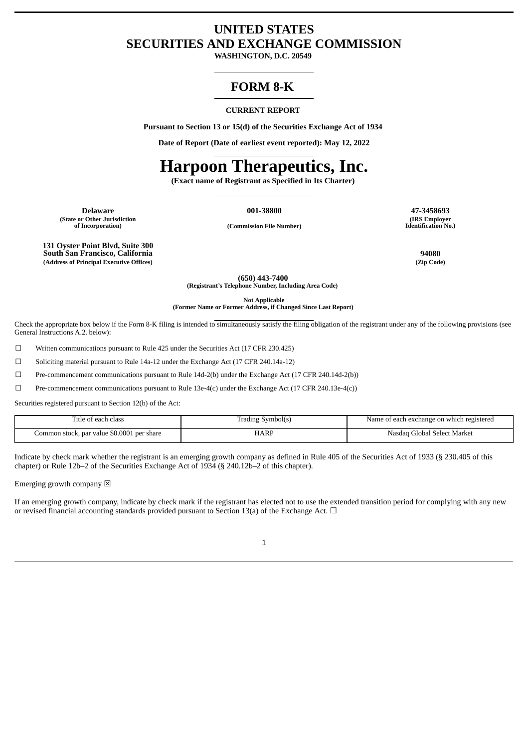# **UNITED STATES SECURITIES AND EXCHANGE COMMISSION**

**WASHINGTON, D.C. 20549**

# **FORM 8-K**

#### **CURRENT REPORT**

**Pursuant to Section 13 or 15(d) of the Securities Exchange Act of 1934**

**Date of Report (Date of earliest event reported): May 12, 2022**

# **Harpoon Therapeutics, Inc.**

**(Exact name of Registrant as Specified in Its Charter)**

**Delaware 001-38800 47-3458693 (State or Other Jurisdiction**

**of Incorporation) (Commission File Number)**

**(IRS Employer Identification No.)**

**131 Oyster Point Blvd, Suite 300 South San Francisco, California 94080 (Address of Principal Executive Offices) (Zip Code)**

**(650) 443-7400 (Registrant's Telephone Number, Including Area Code)**

**Not Applicable**

**(Former Name or Former Address, if Changed Since Last Report)**

Check the appropriate box below if the Form 8-K filing is intended to simultaneously satisfy the filing obligation of the registrant under any of the following provisions (see General Instructions A.2. below):

☐ Written communications pursuant to Rule 425 under the Securities Act (17 CFR 230.425)

☐ Soliciting material pursuant to Rule 14a-12 under the Exchange Act (17 CFR 240.14a-12)

☐ Pre-commencement communications pursuant to Rule 14d-2(b) under the Exchange Act (17 CFR 240.14d-2(b))

☐ Pre-commencement communications pursuant to Rule 13e-4(c) under the Exchange Act (17 CFR 240.13e-4(c))

Securities registered pursuant to Section 12(b) of the Act:

| Title of each class                        | [rading Svmbol(s) | e of each exchange on which registered<br>Name |
|--------------------------------------------|-------------------|------------------------------------------------|
| Common stock, par value \$0.0001 per share | HARP              | Global Select Market)<br>Nasdad                |

Indicate by check mark whether the registrant is an emerging growth company as defined in Rule 405 of the Securities Act of 1933 (§ 230.405 of this chapter) or Rule 12b–2 of the Securities Exchange Act of 1934 (§ 240.12b–2 of this chapter).

Emerging growth company  $\boxtimes$ 

If an emerging growth company, indicate by check mark if the registrant has elected not to use the extended transition period for complying with any new or revised financial accounting standards provided pursuant to Section 13(a) of the Exchange Act.  $\Box$ 

1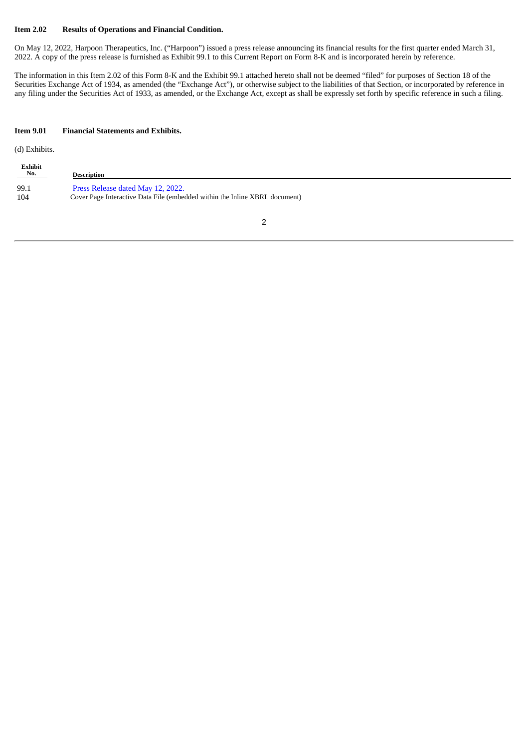#### **Item 2.02 Results of Operations and Financial Condition.**

On May 12, 2022, Harpoon Therapeutics, Inc. ("Harpoon") issued a press release announcing its financial results for the first quarter ended March 31, 2022. A copy of the press release is furnished as Exhibit 99.1 to this Current Report on Form 8-K and is incorporated herein by reference.

The information in this Item 2.02 of this Form 8-K and the Exhibit 99.1 attached hereto shall not be deemed "filed" for purposes of Section 18 of the Securities Exchange Act of 1934, as amended (the "Exchange Act"), or otherwise subject to the liabilities of that Section, or incorporated by reference in any filing under the Securities Act of 1933, as amended, or the Exchange Act, except as shall be expressly set forth by specific reference in such a filing.

#### **Item 9.01 Financial Statements and Exhibits.**

(d) Exhibits.

| Exhibit<br>$N_0$ . | Description                                                                 |
|--------------------|-----------------------------------------------------------------------------|
| 99.1               | Press Release dated May 12, 2022.                                           |
| 104                | Cover Page Interactive Data File (embedded within the Inline XBRL document) |

2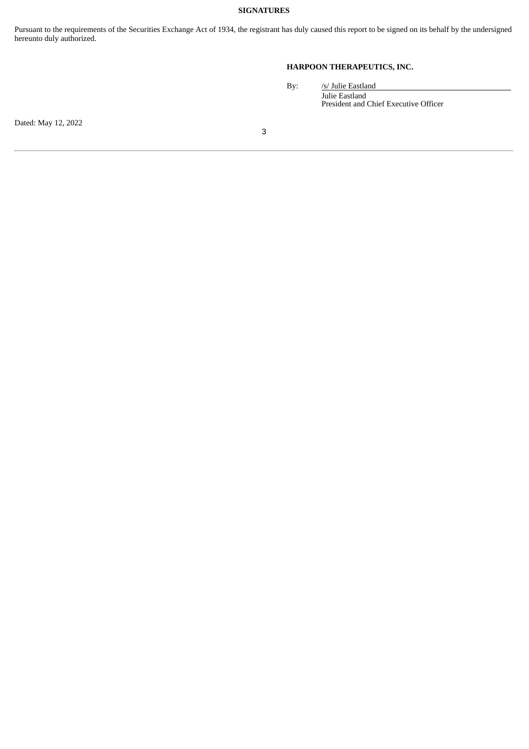## **SIGNATURES**

Pursuant to the requirements of the Securities Exchange Act of 1934, the registrant has duly caused this report to be signed on its behalf by the undersigned hereunto duly authorized.

# **HARPOON THERAPEUTICS, INC.**

By: /s/ Julie Eastland Julie Eastland President and Chief Executive Officer

Dated: May 12, 2022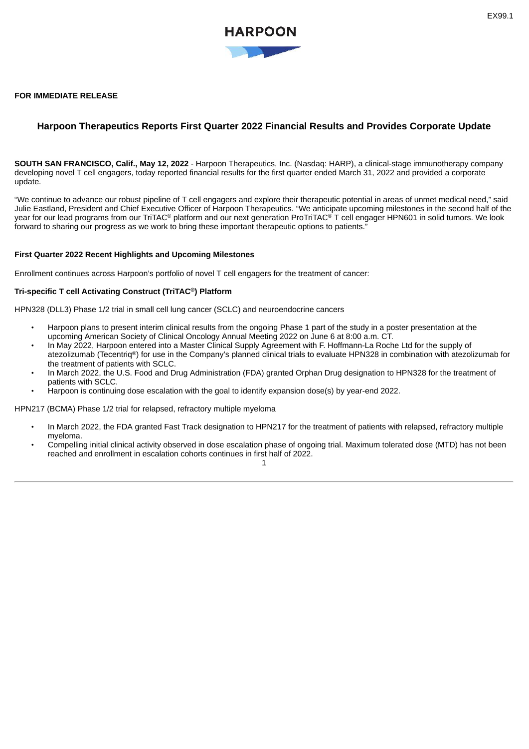#### <span id="page-3-0"></span>**FOR IMMEDIATE RELEASE**

## **Harpoon Therapeutics Reports First Quarter 2022 Financial Results and Provides Corporate Update**

**SOUTH SAN FRANCISCO, Calif., May 12, 2022** - Harpoon Therapeutics, Inc. (Nasdaq: HARP), a clinical-stage immunotherapy company developing novel T cell engagers, today reported financial results for the first quarter ended March 31, 2022 and provided a corporate update.

"We continue to advance our robust pipeline of T cell engagers and explore their therapeutic potential in areas of unmet medical need," said Julie Eastland, President and Chief Executive Officer of Harpoon Therapeutics. "We anticipate upcoming milestones in the second half of the year for our lead programs from our TriTAC<sup>®</sup> platform and our next generation ProTriTAC<sup>®</sup> T cell engager HPN601 in solid tumors. We look forward to sharing our progress as we work to bring these important therapeutic options to patients."

#### **First Quarter 2022 Recent Highlights and Upcoming Milestones**

Enrollment continues across Harpoon's portfolio of novel T cell engagers for the treatment of cancer:

#### **Tri-specific T cell Activating Construct (TriTAC®) Platform**

HPN328 (DLL3) Phase 1/2 trial in small cell lung cancer (SCLC) and neuroendocrine cancers

- Harpoon plans to present interim clinical results from the ongoing Phase 1 part of the study in a poster presentation at the upcoming American Society of Clinical Oncology Annual Meeting 2022 on June 6 at 8:00 a.m. CT.
- In May 2022, Harpoon entered into a Master Clinical Supply Agreement with F. Hoffmann-La Roche Ltd for the supply of atezolizumab (Tecentriq ®) for use in the Company's planned clinical trials to evaluate HPN328 in combination with atezolizumab for the treatment of patients with SCLC.
- In March 2022, the U.S. Food and Drug Administration (FDA) granted Orphan Drug designation to HPN328 for the treatment of patients with SCLC.
- Harpoon is continuing dose escalation with the goal to identify expansion dose(s) by year-end 2022.

HPN217 (BCMA) Phase 1/2 trial for relapsed, refractory multiple myeloma

- In March 2022, the FDA granted Fast Track designation to HPN217 for the treatment of patients with relapsed, refractory multiple myeloma.
- Compelling initial clinical activity observed in dose escalation phase of ongoing trial. Maximum tolerated dose (MTD) has not been reached and enrollment in escalation cohorts continues in first half of 2022.

1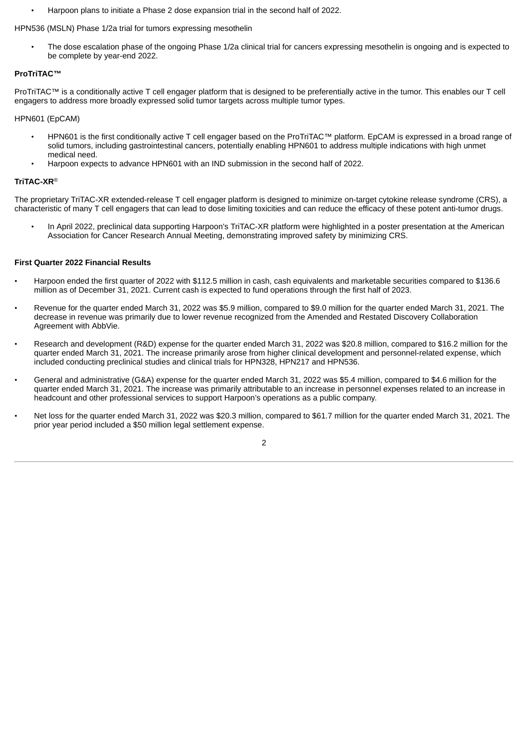• Harpoon plans to initiate a Phase 2 dose expansion trial in the second half of 2022.

#### HPN536 (MSLN) Phase 1/2a trial for tumors expressing mesothelin

• The dose escalation phase of the ongoing Phase 1/2a clinical trial for cancers expressing mesothelin is ongoing and is expected to be complete by year-end 2022.

#### **ProTriTAC™**

ProTriTAC™ is a conditionally active T cell engager platform that is designed to be preferentially active in the tumor. This enables our T cell engagers to address more broadly expressed solid tumor targets across multiple tumor types.

HPN601 (EpCAM)

- HPN601 is the first conditionally active T cell engager based on the ProTriTAC™ platform. EpCAM is expressed in a broad range of solid tumors, including gastrointestinal cancers, potentially enabling HPN601 to address multiple indications with high unmet medical need.
- Harpoon expects to advance HPN601 with an IND submission in the second half of 2022.

#### **TriTAC-XR**®

The proprietary TriTAC-XR extended-release T cell engager platform is designed to minimize on-target cytokine release syndrome (CRS), a characteristic of many T cell engagers that can lead to dose limiting toxicities and can reduce the efficacy of these potent anti-tumor drugs.

• In April 2022, preclinical data supporting Harpoon's TriTAC-XR platform were highlighted in a poster presentation at the American Association for Cancer Research Annual Meeting, demonstrating improved safety by minimizing CRS.

#### **First Quarter 2022 Financial Results**

- Harpoon ended the first quarter of 2022 with \$112.5 million in cash, cash equivalents and marketable securities compared to \$136.6 million as of December 31, 2021. Current cash is expected to fund operations through the first half of 2023.
- Revenue for the quarter ended March 31, 2022 was \$5.9 million, compared to \$9.0 million for the quarter ended March 31, 2021. The decrease in revenue was primarily due to lower revenue recognized from the Amended and Restated Discovery Collaboration Agreement with AbbVie.
- Research and development (R&D) expense for the quarter ended March 31, 2022 was \$20.8 million, compared to \$16.2 million for the quarter ended March 31, 2021. The increase primarily arose from higher clinical development and personnel-related expense, which included conducting preclinical studies and clinical trials for HPN328, HPN217 and HPN536.
- General and administrative (G&A) expense for the quarter ended March 31, 2022 was \$5.4 million, compared to \$4.6 million for the quarter ended March 31, 2021. The increase was primarily attributable to an increase in personnel expenses related to an increase in headcount and other professional services to support Harpoon's operations as a public company.
- Net loss for the quarter ended March 31, 2022 was \$20.3 million, compared to \$61.7 million for the quarter ended March 31, 2021. The prior year period included a \$50 million legal settlement expense.

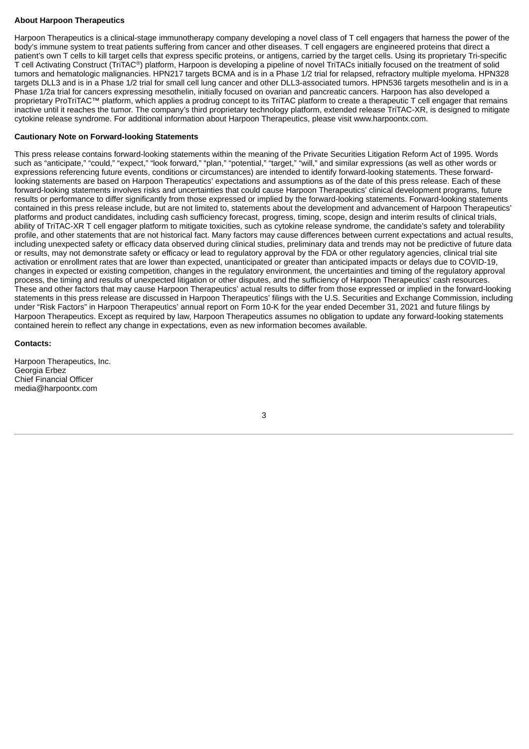### **About Harpoon Therapeutics**

Harpoon Therapeutics is a clinical-stage immunotherapy company developing a novel class of T cell engagers that harness the power of the body's immune system to treat patients suffering from cancer and other diseases. T cell engagers are engineered proteins that direct a patient's own T cells to kill target cells that express specific proteins, or antigens, carried by the target cells. Using its proprietary Tri-specific T cell Activating Construct (TriTAC®) platform, Harpoon is developing a pipeline of novel TriTACs initially focused on the treatment of solid tumors and hematologic malignancies. HPN217 targets BCMA and is in a Phase 1/2 trial for relapsed, refractory multiple myeloma. HPN328 targets DLL3 and is in a Phase 1/2 trial for small cell lung cancer and other DLL3-associated tumors. HPN536 targets mesothelin and is in a Phase 1/2a trial for cancers expressing mesothelin, initially focused on ovarian and pancreatic cancers. Harpoon has also developed a proprietary ProTriTAC™ platform, which applies a prodrug concept to its TriTAC platform to create a therapeutic T cell engager that remains inactive until it reaches the tumor. The company's third proprietary technology platform, extended release TriTAC-XR, is designed to mitigate cytokine release syndrome. For additional information about Harpoon Therapeutics, please visit www.harpoontx.com.

#### **Cautionary Note on Forward-looking Statements**

This press release contains forward-looking statements within the meaning of the Private Securities Litigation Reform Act of 1995. Words such as "anticipate," "could," "expect," "look forward," "plan," "potential," "target," "will," and similar expressions (as well as other words or expressions referencing future events, conditions or circumstances) are intended to identify forward-looking statements. These forwardlooking statements are based on Harpoon Therapeutics' expectations and assumptions as of the date of this press release. Each of these forward-looking statements involves risks and uncertainties that could cause Harpoon Therapeutics' clinical development programs, future results or performance to differ significantly from those expressed or implied by the forward-looking statements. Forward-looking statements contained in this press release include, but are not limited to, statements about the development and advancement of Harpoon Therapeutics' platforms and product candidates, including cash sufficiency forecast, progress, timing, scope, design and interim results of clinical trials, ability of TriTAC-XR T cell engager platform to mitigate toxicities, such as cytokine release syndrome, the candidate's safety and tolerability profile, and other statements that are not historical fact. Many factors may cause differences between current expectations and actual results, including unexpected safety or efficacy data observed during clinical studies, preliminary data and trends may not be predictive of future data or results, may not demonstrate safety or efficacy or lead to regulatory approval by the FDA or other regulatory agencies, clinical trial site activation or enrollment rates that are lower than expected, unanticipated or greater than anticipated impacts or delays due to COVID-19, changes in expected or existing competition, changes in the regulatory environment, the uncertainties and timing of the regulatory approval process, the timing and results of unexpected litigation or other disputes, and the sufficiency of Harpoon Therapeutics' cash resources. These and other factors that may cause Harpoon Therapeutics' actual results to differ from those expressed or implied in the forward-looking statements in this press release are discussed in Harpoon Therapeutics' filings with the U.S. Securities and Exchange Commission, including under "Risk Factors" in Harpoon Therapeutics' annual report on Form 10-K for the year ended December 31, 2021 and future filings by Harpoon Therapeutics. Except as required by law, Harpoon Therapeutics assumes no obligation to update any forward-looking statements contained herein to reflect any change in expectations, even as new information becomes available.

#### **Contacts:**

Harpoon Therapeutics, Inc. Georgia Erbez Chief Financial Officer media@harpoontx.com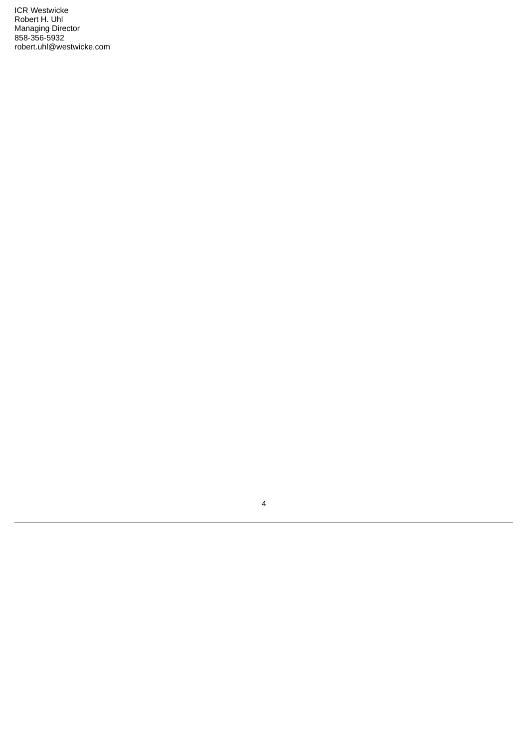ICR Westwicke Robert H. Uhl Managing Director 858-356-5932 robert.uhl@westwicke.com